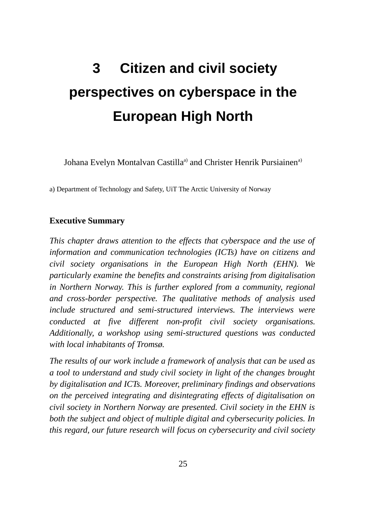# **3 Citizen and civil society perspectives on cyberspace in the European High North**

Johana Evelyn Montalyan Castilla<sup>a)</sup> and Christer Henrik Pursiainen<sup>a)</sup>

a) Department of Technology and Safety, UiT The Arctic University of Norway

#### **Executive Summary**

*This chapter draws attention to the effects that cyberspace and the use of information and communication technologies (ICTs) have on citizens and civil society organisations in the European High North (EHN). We particularly examine the benefits and constraints arising from digitalisation in Northern Norway. This is further explored from a community, regional and cross-border perspective. The qualitative methods of analysis used include structured and semi-structured interviews. The interviews were conducted at five different non-profit civil society organisations. Additionally, a workshop using semi-structured questions was conducted with local inhabitants of Tromsø.*

*The results of our work include a framework of analysis that can be used as a tool to understand and study civil society in light of the changes brought by digitalisation and ICTs. Moreover, preliminary findings and observations on the perceived integrating and disintegrating effects of digitalisation on civil society in Northern Norway are presented. Civil society in the EHN is both the subject and object of multiple digital and cybersecurity policies. In this regard, our future research will focus on cybersecurity and civil society*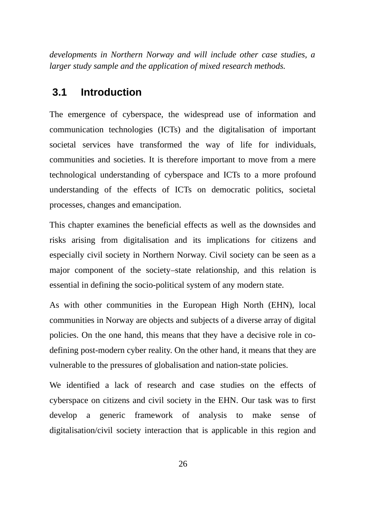*developments in Northern Norway and will include other case studies, a larger study sample and the application of mixed research methods.*

## **3.1 Introduction**

The emergence of cyberspace, the widespread use of information and communication technologies (ICTs) and the digitalisation of important societal services have transformed the way of life for individuals, communities and societies. It is therefore important to move from a mere technological understanding of cyberspace and ICTs to a more profound understanding of the effects of ICTs on democratic politics, societal processes, changes and emancipation.

This chapter examines the beneficial effects as well as the downsides and risks arising from digitalisation and its implications for citizens and especially civil society in Northern Norway. Civil society can be seen as a major component of the society–state relationship, and this relation is essential in defining the socio-political system of any modern state.

As with other communities in the European High North (EHN), local communities in Norway are objects and subjects of a diverse array of digital policies. On the one hand, this means that they have a decisive role in codefining post-modern cyber reality. On the other hand, it means that they are vulnerable to the pressures of globalisation and nation-state policies.

We identified a lack of research and case studies on the effects of cyberspace on citizens and civil society in the EHN. Our task was to first develop a generic framework of analysis to make sense of digitalisation/civil society interaction that is applicable in this region and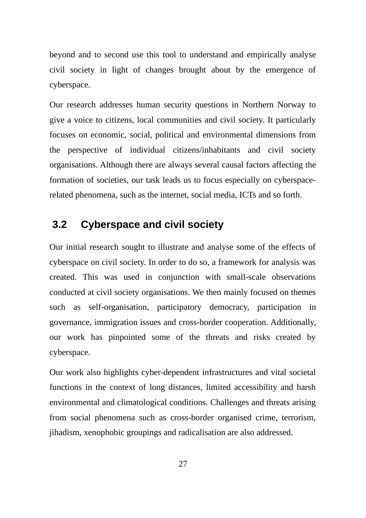beyond and to second use this tool to understand and empirically analyse civil society in light of changes brought about by the emergence of cyberspace.

Our research addresses human security questions in Northern Norway to give a voice to citizens, local communities and civil society. It particularly focuses on economic, social, political and environmental dimensions from the perspective of individual citizens/inhabitants and civil society organisations. Although there are always several causal factors affecting the formation of societies, our task leads us to focus especially on cyberspacerelated phenomena, such as the internet, social media, ICTs and so forth.

# **3.2 Cyberspace and civil society**

Our initial research sought to illustrate and analyse some of the effects of cyberspace on civil society. In order to do so, a framework for analysis was created. This was used in conjunction with small-scale observations conducted at civil society organisations. We then mainly focused on themes such as self-organisation, participatory democracy, participation in governance, immigration issues and cross-border cooperation. Additionally, our work has pinpointed some of the threats and risks created by cyberspace.

Our work also highlights cyber-dependent infrastructures and vital societal functions in the context of long distances, limited accessibility and harsh environmental and climatological conditions. Challenges and threats arising from social phenomena such as cross-border organised crime, terrorism, jihadism, xenophobic groupings and radicalisation are also addressed.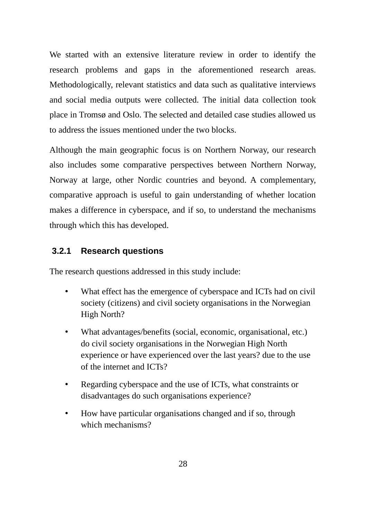We started with an extensive literature review in order to identify the research problems and gaps in the aforementioned research areas. Methodologically, relevant statistics and data such as qualitative interviews and social media outputs were collected. The initial data collection took place in Tromsø and Oslo. The selected and detailed case studies allowed us to address the issues mentioned under the two blocks.

Although the main geographic focus is on Northern Norway, our research also includes some comparative perspectives between Northern Norway, Norway at large, other Nordic countries and beyond. A complementary, comparative approach is useful to gain understanding of whether location makes a difference in cyberspace, and if so, to understand the mechanisms through which this has developed.

#### **3.2.1 Research questions**

The research questions addressed in this study include:

- What effect has the emergence of cyberspace and ICTs had on civil society (citizens) and civil society organisations in the Norwegian High North?
- What advantages/benefits (social, economic, organisational, etc.) do civil society organisations in the Norwegian High North experience or have experienced over the last years? due to the use of the internet and ICTs?
- Regarding cyberspace and the use of ICTs, what constraints or disadvantages do such organisations experience?
- How have particular organisations changed and if so, through which mechanisms?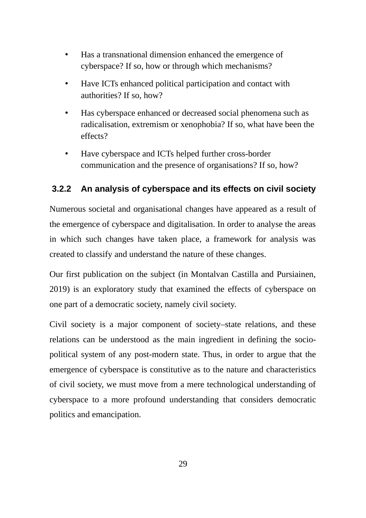- Has a transnational dimension enhanced the emergence of cyberspace? If so, how or through which mechanisms?
- Have ICTs enhanced political participation and contact with authorities? If so, how?
- Has cyberspace enhanced or decreased social phenomena such as radicalisation, extremism or xenophobia? If so, what have been the effects?
- Have cyberspace and ICTs helped further cross-border communication and the presence of organisations? If so, how?

### **3.2.2 An analysis of cyberspace and its effects on civil society**

Numerous societal and organisational changes have appeared as a result of the emergence of cyberspace and digitalisation. In order to analyse the areas in which such changes have taken place, a framework for analysis was created to classify and understand the nature of these changes.

Our first publication on the subject (in Montalvan Castilla and Pursiainen, 2019) is an exploratory study that examined the effects of cyberspace on one part of a democratic society, namely civil society.

Civil society is a major component of society–state relations, and these relations can be understood as the main ingredient in defining the sociopolitical system of any post-modern state. Thus, in order to argue that the emergence of cyberspace is constitutive as to the nature and characteristics of civil society, we must move from a mere technological understanding of cyberspace to a more profound understanding that considers democratic politics and emancipation.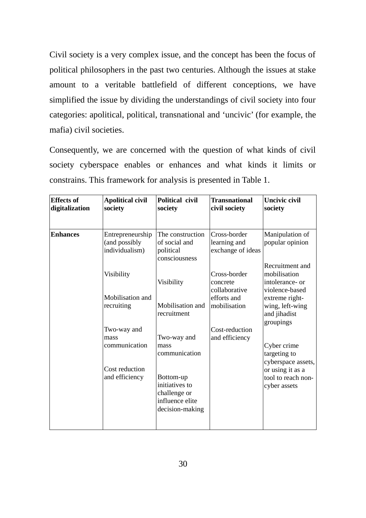Civil society is a very complex issue, and the concept has been the focus of political philosophers in the past two centuries. Although the issues at stake amount to a veritable battlefield of different conceptions, we have simplified the issue by dividing the understandings of civil society into four categories: apolitical, political, transnational and 'uncivic' (for example, the mafia) civil societies.

Consequently, we are concerned with the question of what kinds of civil society cyberspace enables or enhances and what kinds it limits or constrains. This framework for analysis is presented in Table 1.

| <b>Effects of</b><br>digitalization | <b>Apolitical civil</b><br>society                  | <b>Political civil</b><br>society                                                 | <b>Transnational</b><br>civil society             | <b>Uncivic civil</b><br>society                                              |
|-------------------------------------|-----------------------------------------------------|-----------------------------------------------------------------------------------|---------------------------------------------------|------------------------------------------------------------------------------|
| <b>Enhances</b>                     | Entrepreneurship<br>(and possibly<br>individualism) | The construction<br>of social and<br>political<br>consciousness                   | Cross-border<br>learning and<br>exchange of ideas | Manipulation of<br>popular opinion<br>Recruitment and                        |
|                                     | Visibility                                          | Visibility                                                                        | Cross-border<br>concrete<br>collaborative         | mobilisation<br>intolerance- or<br>violence-based                            |
|                                     | Mobilisation and<br>recruiting                      | Mobilisation and<br>recruitment                                                   | efforts and<br>mobilisation                       | extreme right-<br>wing, left-wing<br>and jihadist<br>groupings               |
|                                     | Two-way and<br>mass<br>communication                | Two-way and<br>mass<br>communication                                              | Cost-reduction<br>and efficiency                  | Cyber crime<br>targeting to                                                  |
|                                     | Cost reduction<br>and efficiency                    | Bottom-up<br>initiatives to<br>challenge or<br>influence elite<br>decision-making |                                                   | cyberspace assets,<br>or using it as a<br>tool to reach non-<br>cyber assets |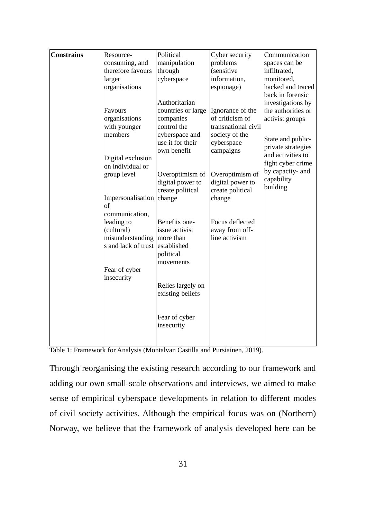| <b>Constrains</b> | Resource-<br>consuming, and<br>therefore favours<br>larger<br>organisations<br>Favours<br>organisations<br>with younger<br>members<br>Digital exclusion<br>on individual or<br>group level<br>Impersonalisation change<br>of<br>communication,<br>leading to<br>(cultural)<br>misunderstanding more than<br>s and lack of trust lestablished<br>Fear of cyber<br>insecurity | Political<br>manipulation<br>through<br>cyberspace<br>Authoritarian<br>countries or large<br>companies<br>control the<br>cyberspace and<br>use it for their<br>own benefit<br>Overoptimism of<br>digital power to<br>create political<br>Benefits one-<br>issue activist<br>political<br>movements<br>Relies largely on<br>existing beliefs | Cyber security<br>problems<br>(sensitive<br>information,<br>espionage)<br>Ignorance of the<br>of criticism of<br>transnational civil<br>society of the<br>cyberspace<br>campaigns<br>Overoptimism of<br>digital power to<br>create political<br>change<br>Focus deflected<br>away from off-<br>line activism | Communication<br>spaces can be<br>infiltrated,<br>monitored,<br>hacked and traced<br>back in forensic<br>investigations by<br>the authorities or<br>activist groups<br>State and public-<br>private strategies<br>and activities to<br>fight cyber crime<br>by capacity- and<br>capability<br>building |
|-------------------|-----------------------------------------------------------------------------------------------------------------------------------------------------------------------------------------------------------------------------------------------------------------------------------------------------------------------------------------------------------------------------|---------------------------------------------------------------------------------------------------------------------------------------------------------------------------------------------------------------------------------------------------------------------------------------------------------------------------------------------|--------------------------------------------------------------------------------------------------------------------------------------------------------------------------------------------------------------------------------------------------------------------------------------------------------------|--------------------------------------------------------------------------------------------------------------------------------------------------------------------------------------------------------------------------------------------------------------------------------------------------------|
|                   |                                                                                                                                                                                                                                                                                                                                                                             | Fear of cyber<br>insecurity                                                                                                                                                                                                                                                                                                                 |                                                                                                                                                                                                                                                                                                              |                                                                                                                                                                                                                                                                                                        |

Table 1: Framework for Analysis (Montalvan Castilla and Pursiainen, 2019).

Through reorganising the existing research according to our framework and adding our own small-scale observations and interviews, we aimed to make sense of empirical cyberspace developments in relation to different modes of civil society activities. Although the empirical focus was on (Northern) Norway, we believe that the framework of analysis developed here can be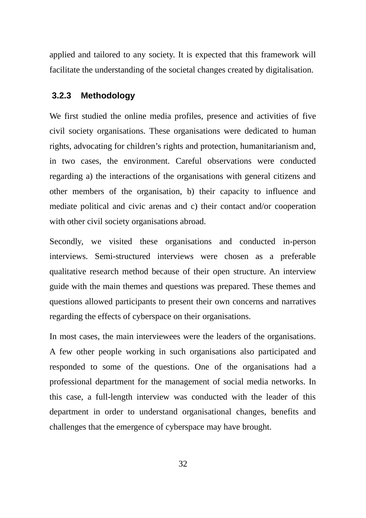applied and tailored to any society. It is expected that this framework will facilitate the understanding of the societal changes created by digitalisation.

#### **3.2.3 Methodology**

We first studied the online media profiles, presence and activities of five civil society organisations. These organisations were dedicated to human rights, advocating for children's rights and protection, humanitarianism and, in two cases, the environment. Careful observations were conducted regarding a) the interactions of the organisations with general citizens and other members of the organisation, b) their capacity to influence and mediate political and civic arenas and c) their contact and/or cooperation with other civil society organisations abroad.

Secondly, we visited these organisations and conducted in-person interviews. Semi-structured interviews were chosen as a preferable qualitative research method because of their open structure. An interview guide with the main themes and questions was prepared. These themes and questions allowed participants to present their own concerns and narratives regarding the effects of cyberspace on their organisations.

In most cases, the main interviewees were the leaders of the organisations. A few other people working in such organisations also participated and responded to some of the questions. One of the organisations had a professional department for the management of social media networks. In this case, a full-length interview was conducted with the leader of this department in order to understand organisational changes, benefits and challenges that the emergence of cyberspace may have brought.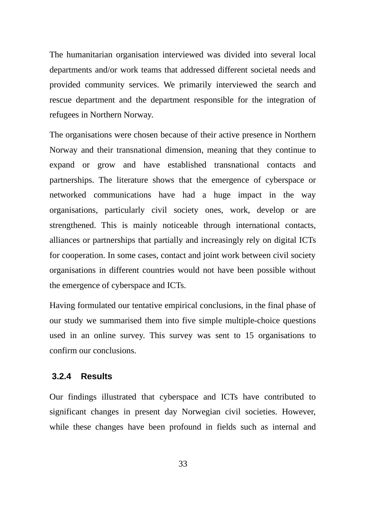The humanitarian organisation interviewed was divided into several local departments and/or work teams that addressed different societal needs and provided community services. We primarily interviewed the search and rescue department and the department responsible for the integration of refugees in Northern Norway.

The organisations were chosen because of their active presence in Northern Norway and their transnational dimension, meaning that they continue to expand or grow and have established transnational contacts and partnerships. The literature shows that the emergence of cyberspace or networked communications have had a huge impact in the way organisations, particularly civil society ones, work, develop or are strengthened. This is mainly noticeable through international contacts, alliances or partnerships that partially and increasingly rely on digital ICTs for cooperation. In some cases, contact and joint work between civil society organisations in different countries would not have been possible without the emergence of cyberspace and ICTs.

Having formulated our tentative empirical conclusions, in the final phase of our study we summarised them into five simple multiple-choice questions used in an online survey. This survey was sent to 15 organisations to confirm our conclusions.

#### **3.2.4 Results**

Our findings illustrated that cyberspace and ICTs have contributed to significant changes in present day Norwegian civil societies. However, while these changes have been profound in fields such as internal and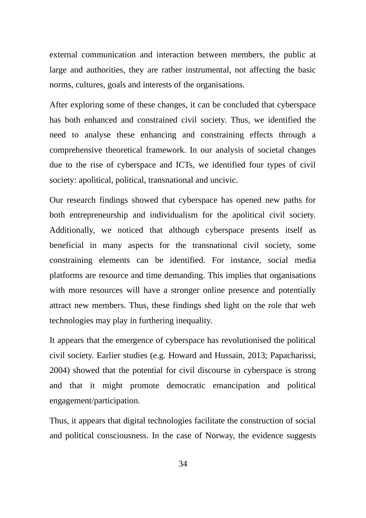external communication and interaction between members, the public at large and authorities, they are rather instrumental, not affecting the basic norms, cultures, goals and interests of the organisations.

After exploring some of these changes, it can be concluded that cyberspace has both enhanced and constrained civil society. Thus, we identified the need to analyse these enhancing and constraining effects through a comprehensive theoretical framework. In our analysis of societal changes due to the rise of cyberspace and ICTs, we identified four types of civil society: apolitical, political, transnational and uncivic.

Our research findings showed that cyberspace has opened new paths for both entrepreneurship and individualism for the apolitical civil society. Additionally, we noticed that although cyberspace presents itself as beneficial in many aspects for the transnational civil society, some constraining elements can be identified. For instance, social media platforms are resource and time demanding. This implies that organisations with more resources will have a stronger online presence and potentially attract new members. Thus, these findings shed light on the role that web technologies may play in furthering inequality.

It appears that the emergence of cyberspace has revolutionised the political civil society. Earlier studies (e.g. Howard and Hussain, 2013; Papacharissi, 2004) showed that the potential for civil discourse in cyberspace is strong and that it might promote democratic emancipation and political engagement/participation.

Thus, it appears that digital technologies facilitate the construction of social and political consciousness. In the case of Norway, the evidence suggests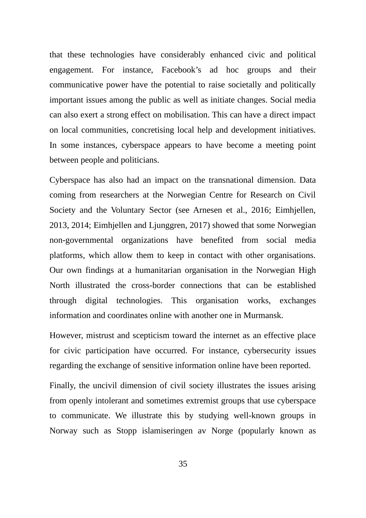that these technologies have considerably enhanced civic and political engagement. For instance, Facebook's ad hoc groups and their communicative power have the potential to raise societally and politically important issues among the public as well as initiate changes. Social media can also exert a strong effect on mobilisation. This can have a direct impact on local communities, concretising local help and development initiatives. In some instances, cyberspace appears to have become a meeting point between people and politicians.

Cyberspace has also had an impact on the transnational dimension. Data coming from researchers at the Norwegian Centre for Research on Civil Society and the Voluntary Sector (see Arnesen et al., 2016; Eimhjellen, 2013, 2014; Eimhjellen and Ljunggren, 2017) showed that some Norwegian non-governmental organizations have benefited from social media platforms, which allow them to keep in contact with other organisations. Our own findings at a humanitarian organisation in the Norwegian High North illustrated the cross-border connections that can be established through digital technologies. This organisation works, exchanges information and coordinates online with another one in Murmansk.

However, mistrust and scepticism toward the internet as an effective place for civic participation have occurred. For instance, cybersecurity issues regarding the exchange of sensitive information online have been reported.

Finally, the uncivil dimension of civil society illustrates the issues arising from openly intolerant and sometimes extremist groups that use cyberspace to communicate. We illustrate this by studying well-known groups in Norway such as Stopp islamiseringen av Norge (popularly known as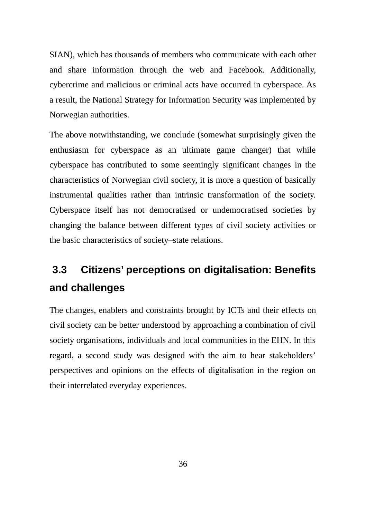SIAN), which has thousands of members who communicate with each other and share information through the web and Facebook. Additionally, cybercrime and malicious or criminal acts have occurred in cyberspace. As a result, the National Strategy for Information Security was implemented by Norwegian authorities.

The above notwithstanding, we conclude (somewhat surprisingly given the enthusiasm for cyberspace as an ultimate game changer) that while cyberspace has contributed to some seemingly significant changes in the characteristics of Norwegian civil society, it is more a question of basically instrumental qualities rather than intrinsic transformation of the society. Cyberspace itself has not democratised or undemocratised societies by changing the balance between different types of civil society activities or the basic characteristics of society–state relations.

# **3.3 Citizens' perceptions on digitalisation: Benefits and challenges**

The changes, enablers and constraints brought by ICTs and their effects on civil society can be better understood by approaching a combination of civil society organisations, individuals and local communities in the EHN. In this regard, a second study was designed with the aim to hear stakeholders' perspectives and opinions on the effects of digitalisation in the region on their interrelated everyday experiences.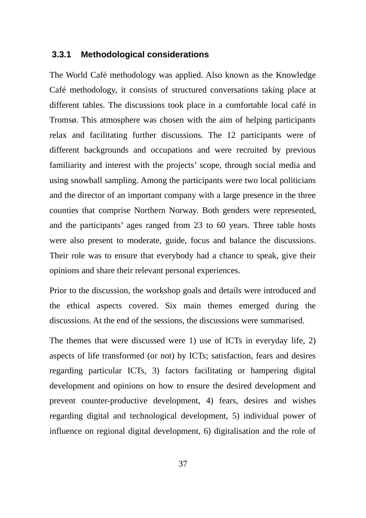#### **3.3.1 Methodological considerations**

The World Café methodology was applied. Also known as the Knowledge Café methodology, it consists of structured conversations taking place at different tables. The discussions took place in a comfortable local café in Tromsø. This atmosphere was chosen with the aim of helping participants relax and facilitating further discussions. The 12 participants were of different backgrounds and occupations and were recruited by previous familiarity and interest with the projects' scope, through social media and using snowball sampling. Among the participants were two local politicians and the director of an important company with a large presence in the three counties that comprise Northern Norway. Both genders were represented, and the participants' ages ranged from 23 to 60 years. Three table hosts were also present to moderate, guide, focus and balance the discussions. Their role was to ensure that everybody had a chance to speak, give their opinions and share their relevant personal experiences.

Prior to the discussion, the workshop goals and details were introduced and the ethical aspects covered. Six main themes emerged during the discussions. At the end of the sessions, the discussions were summarised.

The themes that were discussed were 1) use of ICTs in everyday life, 2) aspects of life transformed (or not) by ICTs; satisfaction, fears and desires regarding particular ICTs, 3) factors facilitating or hampering digital development and opinions on how to ensure the desired development and prevent counter-productive development, 4) fears, desires and wishes regarding digital and technological development, 5) individual power of influence on regional digital development, 6) digitalisation and the role of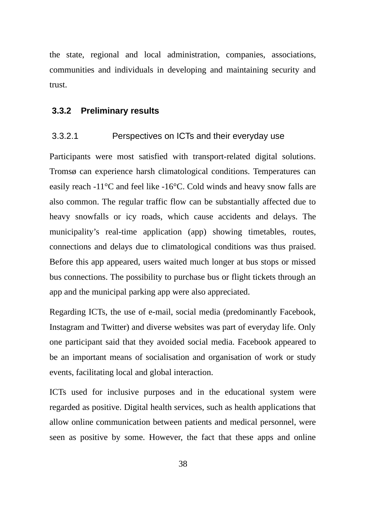the state, regional and local administration, companies, associations, communities and individuals in developing and maintaining security and trust.

#### **3.3.2 Preliminary results**

#### 3.3.2.1 Perspectives on ICTs and their everyday use

Participants were most satisfied with transport-related digital solutions. Tromsø can experience harsh climatological conditions. Temperatures can easily reach -11°C and feel like -16°C. Cold winds and heavy snow falls are also common. The regular traffic flow can be substantially affected due to heavy snowfalls or icy roads, which cause accidents and delays. The municipality's real-time application (app) showing timetables, routes, connections and delays due to climatological conditions was thus praised. Before this app appeared, users waited much longer at bus stops or missed bus connections. The possibility to purchase bus or flight tickets through an app and the municipal parking app were also appreciated.

Regarding ICTs, the use of e-mail, social media (predominantly Facebook, Instagram and Twitter) and diverse websites was part of everyday life. Only one participant said that they avoided social media. Facebook appeared to be an important means of socialisation and organisation of work or study events, facilitating local and global interaction.

ICTs used for inclusive purposes and in the educational system were regarded as positive. Digital health services, such as health applications that allow online communication between patients and medical personnel, were seen as positive by some. However, the fact that these apps and online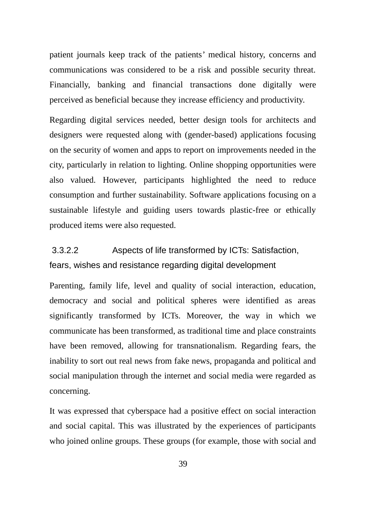patient journals keep track of the patients' medical history, concerns and communications was considered to be a risk and possible security threat. Financially, banking and financial transactions done digitally were perceived as beneficial because they increase efficiency and productivity.

Regarding digital services needed, better design tools for architects and designers were requested along with (gender-based) applications focusing on the security of women and apps to report on improvements needed in the city, particularly in relation to lighting. Online shopping opportunities were also valued. However, participants highlighted the need to reduce consumption and further sustainability. Software applications focusing on a sustainable lifestyle and guiding users towards plastic-free or ethically produced items were also requested.

# 3.3.2.2 Aspects of life transformed by ICTs: Satisfaction, fears, wishes and resistance regarding digital development

Parenting, family life, level and quality of social interaction, education, democracy and social and political spheres were identified as areas significantly transformed by ICTs. Moreover, the way in which we communicate has been transformed, as traditional time and place constraints have been removed, allowing for transnationalism. Regarding fears, the inability to sort out real news from fake news, propaganda and political and social manipulation through the internet and social media were regarded as concerning.

It was expressed that cyberspace had a positive effect on social interaction and social capital. This was illustrated by the experiences of participants who joined online groups. These groups (for example, those with social and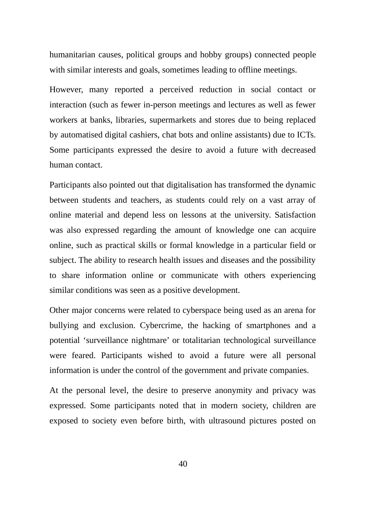humanitarian causes, political groups and hobby groups) connected people with similar interests and goals, sometimes leading to offline meetings.

However, many reported a perceived reduction in social contact or interaction (such as fewer in-person meetings and lectures as well as fewer workers at banks, libraries, supermarkets and stores due to being replaced by automatised digital cashiers, chat bots and online assistants) due to ICTs. Some participants expressed the desire to avoid a future with decreased human contact.

Participants also pointed out that digitalisation has transformed the dynamic between students and teachers, as students could rely on a vast array of online material and depend less on lessons at the university. Satisfaction was also expressed regarding the amount of knowledge one can acquire online, such as practical skills or formal knowledge in a particular field or subject. The ability to research health issues and diseases and the possibility to share information online or communicate with others experiencing similar conditions was seen as a positive development.

Other major concerns were related to cyberspace being used as an arena for bullying and exclusion. Cybercrime, the hacking of smartphones and a potential 'surveillance nightmare' or totalitarian technological surveillance were feared. Participants wished to avoid a future were all personal information is under the control of the government and private companies.

At the personal level, the desire to preserve anonymity and privacy was expressed. Some participants noted that in modern society, children are exposed to society even before birth, with ultrasound pictures posted on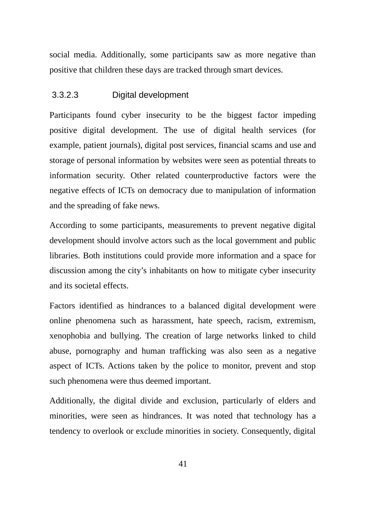social media. Additionally, some participants saw as more negative than positive that children these days are tracked through smart devices.

### 3.3.2.3 Digital development

Participants found cyber insecurity to be the biggest factor impeding positive digital development. The use of digital health services (for example, patient journals), digital post services, financial scams and use and storage of personal information by websites were seen as potential threats to information security. Other related counterproductive factors were the negative effects of ICTs on democracy due to manipulation of information and the spreading of fake news.

According to some participants, measurements to prevent negative digital development should involve actors such as the local government and public libraries. Both institutions could provide more information and a space for discussion among the city's inhabitants on how to mitigate cyber insecurity and its societal effects.

Factors identified as hindrances to a balanced digital development were online phenomena such as harassment, hate speech, racism, extremism, xenophobia and bullying. The creation of large networks linked to child abuse, pornography and human trafficking was also seen as a negative aspect of ICTs. Actions taken by the police to monitor, prevent and stop such phenomena were thus deemed important.

Additionally, the digital divide and exclusion, particularly of elders and minorities, were seen as hindrances. It was noted that technology has a tendency to overlook or exclude minorities in society. Consequently, digital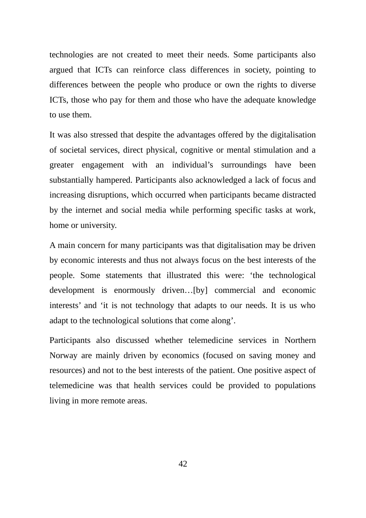technologies are not created to meet their needs. Some participants also argued that ICTs can reinforce class differences in society, pointing to differences between the people who produce or own the rights to diverse ICTs, those who pay for them and those who have the adequate knowledge to use them.

It was also stressed that despite the advantages offered by the digitalisation of societal services, direct physical, cognitive or mental stimulation and a greater engagement with an individual's surroundings have been substantially hampered. Participants also acknowledged a lack of focus and increasing disruptions, which occurred when participants became distracted by the internet and social media while performing specific tasks at work, home or university.

A main concern for many participants was that digitalisation may be driven by economic interests and thus not always focus on the best interests of the people. Some statements that illustrated this were: 'the technological development is enormously driven…[by] commercial and economic interests' and 'it is not technology that adapts to our needs. It is us who adapt to the technological solutions that come along'.

Participants also discussed whether telemedicine services in Northern Norway are mainly driven by economics (focused on saving money and resources) and not to the best interests of the patient. One positive aspect of telemedicine was that health services could be provided to populations living in more remote areas.

42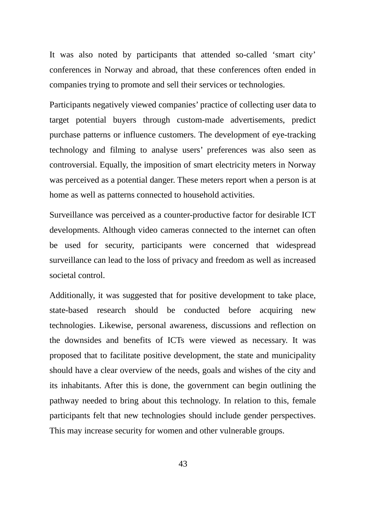It was also noted by participants that attended so-called 'smart city' conferences in Norway and abroad, that these conferences often ended in companies trying to promote and sell their services or technologies.

Participants negatively viewed companies' practice of collecting user data to target potential buyers through custom-made advertisements, predict purchase patterns or influence customers. The development of eye-tracking technology and filming to analyse users' preferences was also seen as controversial. Equally, the imposition of smart electricity meters in Norway was perceived as a potential danger. These meters report when a person is at home as well as patterns connected to household activities.

Surveillance was perceived as a counter-productive factor for desirable ICT developments. Although video cameras connected to the internet can often be used for security, participants were concerned that widespread surveillance can lead to the loss of privacy and freedom as well as increased societal control.

Additionally, it was suggested that for positive development to take place, state-based research should be conducted before acquiring new technologies. Likewise, personal awareness, discussions and reflection on the downsides and benefits of ICTs were viewed as necessary. It was proposed that to facilitate positive development, the state and municipality should have a clear overview of the needs, goals and wishes of the city and its inhabitants. After this is done, the government can begin outlining the pathway needed to bring about this technology. In relation to this, female participants felt that new technologies should include gender perspectives. This may increase security for women and other vulnerable groups.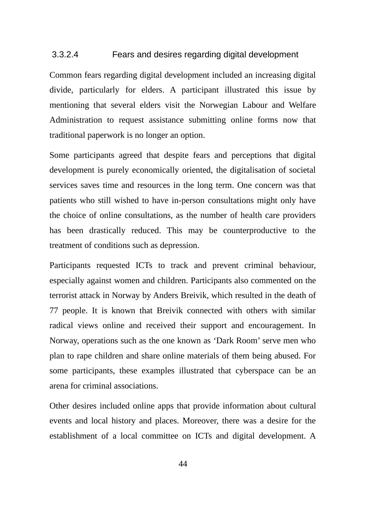#### 3.3.2.4 Fears and desires regarding digital development

Common fears regarding digital development included an increasing digital divide, particularly for elders. A participant illustrated this issue by mentioning that several elders visit the Norwegian Labour and Welfare Administration to request assistance submitting online forms now that traditional paperwork is no longer an option.

Some participants agreed that despite fears and perceptions that digital development is purely economically oriented, the digitalisation of societal services saves time and resources in the long term. One concern was that patients who still wished to have in-person consultations might only have the choice of online consultations, as the number of health care providers has been drastically reduced. This may be counterproductive to the treatment of conditions such as depression.

Participants requested ICTs to track and prevent criminal behaviour, especially against women and children. Participants also commented on the terrorist attack in Norway by Anders Breivik, which resulted in the death of 77 people. It is known that Breivik connected with others with similar radical views online and received their support and encouragement. In Norway, operations such as the one known as 'Dark Room' serve men who plan to rape children and share online materials of them being abused. For some participants, these examples illustrated that cyberspace can be an arena for criminal associations.

Other desires included online apps that provide information about cultural events and local history and places. Moreover, there was a desire for the establishment of a local committee on ICTs and digital development. A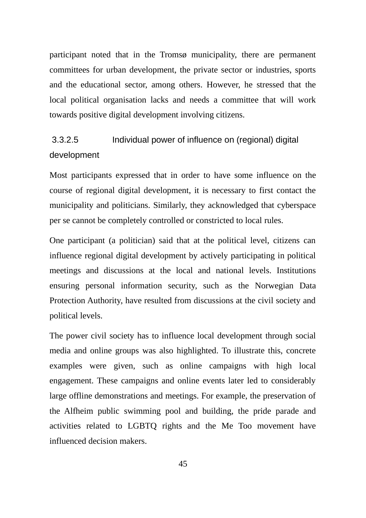participant noted that in the Tromsø municipality, there are permanent committees for urban development, the private sector or industries, sports and the educational sector, among others. However, he stressed that the local political organisation lacks and needs a committee that will work towards positive digital development involving citizens.

# 3.3.2.5 Individual power of influence on (regional) digital development

Most participants expressed that in order to have some influence on the course of regional digital development, it is necessary to first contact the municipality and politicians. Similarly, they acknowledged that cyberspace per se cannot be completely controlled or constricted to local rules.

One participant (a politician) said that at the political level, citizens can influence regional digital development by actively participating in political meetings and discussions at the local and national levels. Institutions ensuring personal information security, such as the Norwegian Data Protection Authority, have resulted from discussions at the civil society and political levels.

The power civil society has to influence local development through social media and online groups was also highlighted. To illustrate this, concrete examples were given, such as online campaigns with high local engagement. These campaigns and online events later led to considerably large offline demonstrations and meetings. For example, the preservation of the Alfheim public swimming pool and building, the pride parade and activities related to LGBTQ rights and the Me Too movement have influenced decision makers.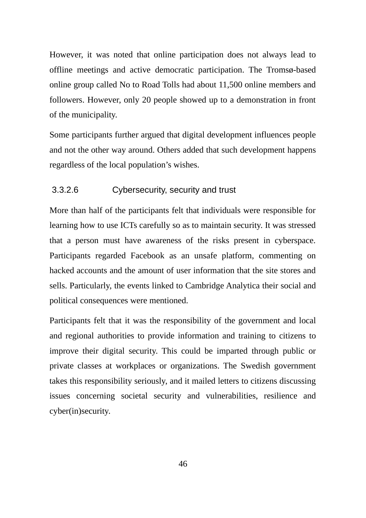However, it was noted that online participation does not always lead to offline meetings and active democratic participation. The Tromsø-based online group called No to Road Tolls had about 11,500 online members and followers. However, only 20 people showed up to a demonstration in front of the municipality.

Some participants further argued that digital development influences people and not the other way around. Others added that such development happens regardless of the local population's wishes.

#### 3.3.2.6 Cybersecurity, security and trust

More than half of the participants felt that individuals were responsible for learning how to use ICTs carefully so as to maintain security. It was stressed that a person must have awareness of the risks present in cyberspace. Participants regarded Facebook as an unsafe platform, commenting on hacked accounts and the amount of user information that the site stores and sells. Particularly, the events linked to Cambridge Analytica their social and political consequences were mentioned.

Participants felt that it was the responsibility of the government and local and regional authorities to provide information and training to citizens to improve their digital security. This could be imparted through public or private classes at workplaces or organizations. The Swedish government takes this responsibility seriously, and it mailed letters to citizens discussing issues concerning societal security and vulnerabilities, resilience and cyber(in)security.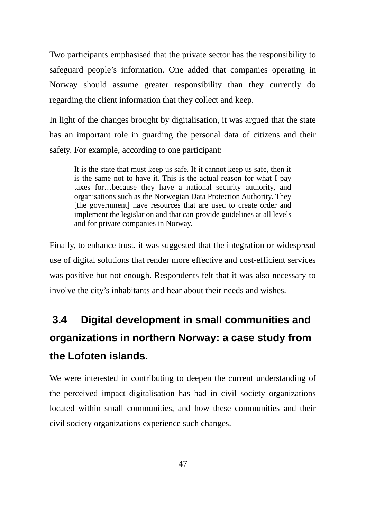Two participants emphasised that the private sector has the responsibility to safeguard people's information. One added that companies operating in Norway should assume greater responsibility than they currently do regarding the client information that they collect and keep.

In light of the changes brought by digitalisation, it was argued that the state has an important role in guarding the personal data of citizens and their safety. For example, according to one participant:

It is the state that must keep us safe. If it cannot keep us safe, then it is the same not to have it. This is the actual reason for what I pay taxes for…because they have a national security authority, and organisations such as the Norwegian Data Protection Authority. They [the government] have resources that are used to create order and implement the legislation and that can provide guidelines at all levels and for private companies in Norway.

Finally, to enhance trust, it was suggested that the integration or widespread use of digital solutions that render more effective and cost-efficient services was positive but not enough. Respondents felt that it was also necessary to involve the city's inhabitants and hear about their needs and wishes.

# **3.4 Digital development in small communities and organizations in northern Norway: a case study from the Lofoten islands.**

We were interested in contributing to deepen the current understanding of the perceived impact digitalisation has had in civil society organizations located within small communities, and how these communities and their civil society organizations experience such changes.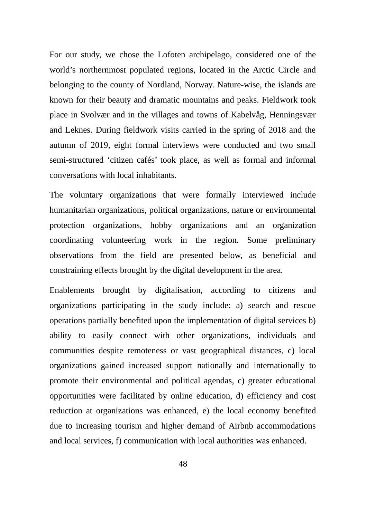For our study, we chose the Lofoten archipelago, considered one of the world's northernmost populated regions, located in the Arctic Circle and belonging to the county of Nordland, Norway. Nature-wise, the islands are known for their beauty and dramatic mountains and peaks. Fieldwork took place in Svolvær and in the villages and towns of Kabelvåg, Henningsvær and Leknes. During fieldwork visits carried in the spring of 2018 and the autumn of 2019, eight formal interviews were conducted and two small semi-structured 'citizen cafés' took place, as well as formal and informal conversations with local inhabitants.

The voluntary organizations that were formally interviewed include humanitarian organizations, political organizations, nature or environmental protection organizations, hobby organizations and an organization coordinating volunteering work in the region. Some preliminary observations from the field are presented below, as beneficial and constraining effects brought by the digital development in the area.

Enablements brought by digitalisation, according to citizens and organizations participating in the study include: a) search and rescue operations partially benefited upon the implementation of digital services b) ability to easily connect with other organizations, individuals and communities despite remoteness or vast geographical distances, c) local organizations gained increased support nationally and internationally to promote their environmental and political agendas, c) greater educational opportunities were facilitated by online education, d) efficiency and cost reduction at organizations was enhanced, e) the local economy benefited due to increasing tourism and higher demand of Airbnb accommodations and local services, f) communication with local authorities was enhanced.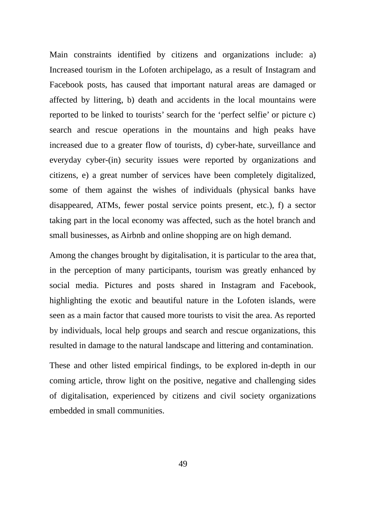Main constraints identified by citizens and organizations include: a) Increased tourism in the Lofoten archipelago, as a result of Instagram and Facebook posts, has caused that important natural areas are damaged or affected by littering, b) death and accidents in the local mountains were reported to be linked to tourists' search for the 'perfect selfie' or picture c) search and rescue operations in the mountains and high peaks have increased due to a greater flow of tourists, d) cyber-hate, surveillance and everyday cyber-(in) security issues were reported by organizations and citizens, e) a great number of services have been completely digitalized, some of them against the wishes of individuals (physical banks have disappeared, ATMs, fewer postal service points present, etc.), f) a sector taking part in the local economy was affected, such as the hotel branch and small businesses, as Airbnb and online shopping are on high demand.

Among the changes brought by digitalisation, it is particular to the area that, in the perception of many participants, tourism was greatly enhanced by social media. Pictures and posts shared in Instagram and Facebook, highlighting the exotic and beautiful nature in the Lofoten islands, were seen as a main factor that caused more tourists to visit the area. As reported by individuals, local help groups and search and rescue organizations, this resulted in damage to the natural landscape and littering and contamination.

These and other listed empirical findings, to be explored in-depth in our coming article, throw light on the positive, negative and challenging sides of digitalisation, experienced by citizens and civil society organizations embedded in small communities.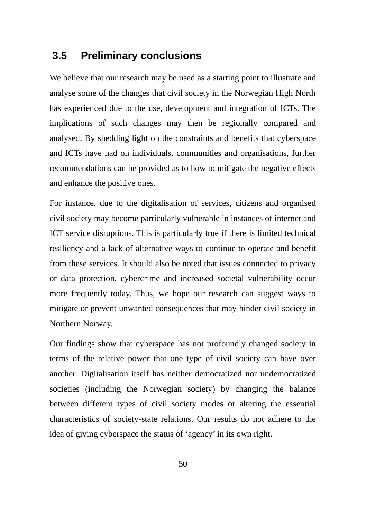# **3.5 Preliminary conclusions**

We believe that our research may be used as a starting point to illustrate and analyse some of the changes that civil society in the Norwegian High North has experienced due to the use, development and integration of ICTs. The implications of such changes may then be regionally compared and analysed. By shedding light on the constraints and benefits that cyberspace and ICTs have had on individuals, communities and organisations, further recommendations can be provided as to how to mitigate the negative effects and enhance the positive ones.

For instance, due to the digitalisation of services, citizens and organised civil society may become particularly vulnerable in instances of internet and ICT service disruptions. This is particularly true if there is limited technical resiliency and a lack of alternative ways to continue to operate and benefit from these services. It should also be noted that issues connected to privacy or data protection, cybercrime and increased societal vulnerability occur more frequently today. Thus, we hope our research can suggest ways to mitigate or prevent unwanted consequences that may hinder civil society in Northern Norway.

Our findings show that cyberspace has not profoundly changed society in terms of the relative power that one type of civil society can have over another. Digitalisation itself has neither democratized nor undemocratized societies (including the Norwegian society) by changing the balance between different types of civil society modes or altering the essential characteristics of society-state relations. Our results do not adhere to the idea of giving cyberspace the status of 'agency' in its own right.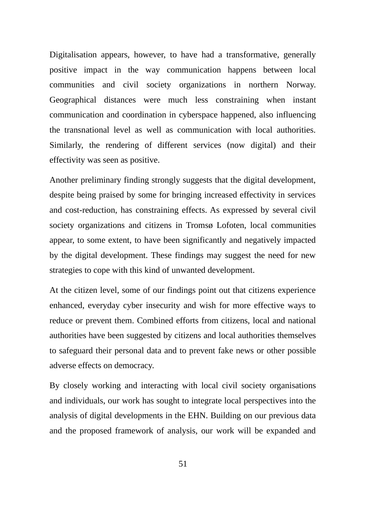Digitalisation appears, however, to have had a transformative, generally positive impact in the way communication happens between local communities and civil society organizations in northern Norway. Geographical distances were much less constraining when instant communication and coordination in cyberspace happened, also influencing the transnational level as well as communication with local authorities. Similarly, the rendering of different services (now digital) and their effectivity was seen as positive.

Another preliminary finding strongly suggests that the digital development, despite being praised by some for bringing increased effectivity in services and cost-reduction, has constraining effects. As expressed by several civil society organizations and citizens in Tromsø Lofoten, local communities appear, to some extent, to have been significantly and negatively impacted by the digital development. These findings may suggest the need for new strategies to cope with this kind of unwanted development.

At the citizen level, some of our findings point out that citizens experience enhanced, everyday cyber insecurity and wish for more effective ways to reduce or prevent them. Combined efforts from citizens, local and national authorities have been suggested by citizens and local authorities themselves to safeguard their personal data and to prevent fake news or other possible adverse effects on democracy.

By closely working and interacting with local civil society organisations and individuals, our work has sought to integrate local perspectives into the analysis of digital developments in the EHN. Building on our previous data and the proposed framework of analysis, our work will be expanded and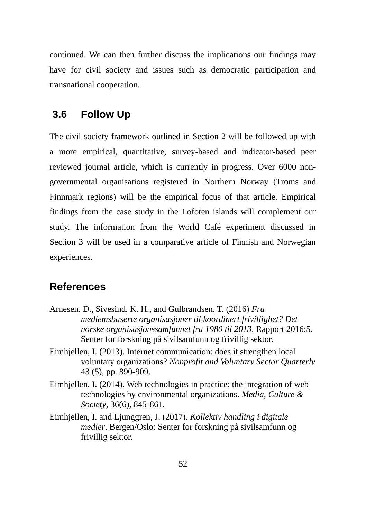continued. We can then further discuss the implications our findings may have for civil society and issues such as democratic participation and transnational cooperation.

# **3.6 Follow Up**

The civil society framework outlined in Section 2 will be followed up with a more empirical, quantitative, survey-based and indicator-based peer reviewed journal article, which is currently in progress. Over 6000 nongovernmental organisations registered in Northern Norway (Troms and Finnmark regions) will be the empirical focus of that article. Empirical findings from the case study in the Lofoten islands will complement our study. The information from the World Café experiment discussed in Section 3 will be used in a comparative article of Finnish and Norwegian experiences.

#### **References**

- Arnesen, D., Sivesind, K. H., and Gulbrandsen, T. (2016) *Fra medlemsbaserte organisasjoner til koordinert frivillighet? Det norske organisasjonssamfunnet fra 1980 til 2013*. Rapport 2016:5. Senter for forskning på sivilsamfunn og frivillig sektor.
- Eimhjellen, I. (2013). Internet communication: does it strengthen local voluntary organizations? *Nonprofit and Voluntary Sector Quarterly* 43 (5), pp. 890-909.
- Eimhjellen, I. (2014). Web technologies in practice: the integration of web technologies by environmental organizations. *Media, Culture & Society*, 36(6), 845-861.
- Eimhjellen, I. and Ljunggren, J. (2017). *Kollektiv handling i digitale medier*. Bergen/Oslo: Senter for forskning på sivilsamfunn og frivillig sektor.